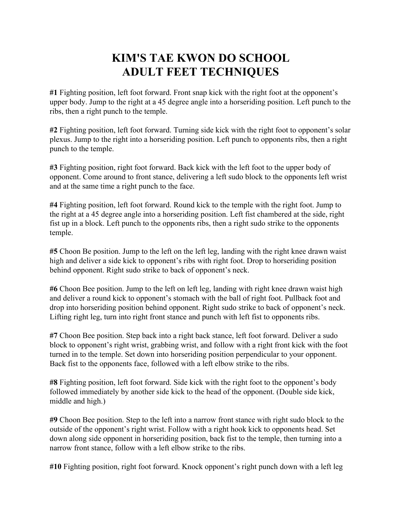## **KIM'S TAE KWON DO SCHOOL ADULT FEET TECHNIQUES**

**#1** Fighting position, left foot forward. Front snap kick with the right foot at the opponent's upper body. Jump to the right at a 45 degree angle into a horseriding position. Left punch to the ribs, then a right punch to the temple.

**#2** Fighting position, left foot forward. Turning side kick with the right foot to opponent's solar plexus. Jump to the right into a horseriding position. Left punch to opponents ribs, then a right punch to the temple.

**#3** Fighting position, right foot forward. Back kick with the left foot to the upper body of opponent. Come around to front stance, delivering a left sudo block to the opponents left wrist and at the same time a right punch to the face.

**#4** Fighting position, left foot forward. Round kick to the temple with the right foot. Jump to the right at a 45 degree angle into a horseriding position. Left fist chambered at the side, right fist up in a block. Left punch to the opponents ribs, then a right sudo strike to the opponents temple.

**#5** Choon Be position. Jump to the left on the left leg, landing with the right knee drawn waist high and deliver a side kick to opponent's ribs with right foot. Drop to horseriding position behind opponent. Right sudo strike to back of opponent's neck.

**#6** Choon Bee position. Jump to the left on left leg, landing with right knee drawn waist high and deliver a round kick to opponent's stomach with the ball of right foot. Pullback foot and drop into horseriding position behind opponent. Right sudo strike to back of opponent's neck. Lifting right leg, turn into right front stance and punch with left fist to opponents ribs.

**#7** Choon Bee position. Step back into a right back stance, left foot forward. Deliver a sudo block to opponent's right wrist, grabbing wrist, and follow with a right front kick with the foot turned in to the temple. Set down into horseriding position perpendicular to your opponent. Back fist to the opponents face, followed with a left elbow strike to the ribs.

**#8** Fighting position, left foot forward. Side kick with the right foot to the opponent's body followed immediately by another side kick to the head of the opponent. (Double side kick, middle and high.)

**#9** Choon Bee position. Step to the left into a narrow front stance with right sudo block to the outside of the opponent's right wrist. Follow with a right hook kick to opponents head. Set down along side opponent in horseriding position, back fist to the temple, then turning into a narrow front stance, follow with a left elbow strike to the ribs.

**#10** Fighting position, right foot forward. Knock opponent's right punch down with a left leg